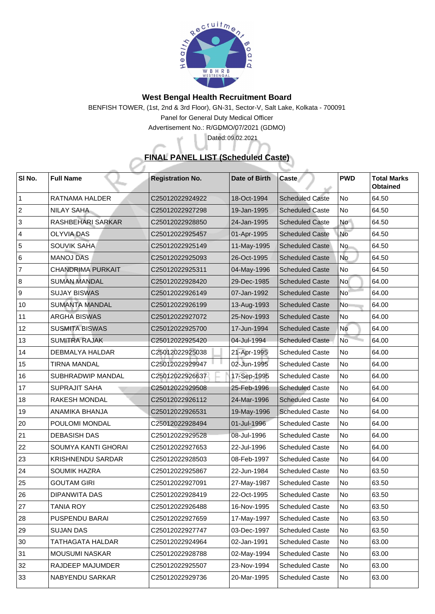

## **West Bengal Health Recruitment Board**

BENFISH TOWER, (1st, 2nd & 3rd Floor), GN-31, Sector-V, Salt Lake, Kolkata - 700091 Panel for General Duty Medical Officer

Advertisement No.: R/GDMO/07/2021 (GDMO)

## **FINAL PANEL LIST (Scheduled Caste)**

Dated: 09.02.2021

| SI No.         | <b>Full Name</b>           | <b>Registration No.</b> | <b>Date of Birth</b> | <b>Caste</b>           | <b>PWD</b>     | <b>Total Marks</b><br><b>Obtained</b> |
|----------------|----------------------------|-------------------------|----------------------|------------------------|----------------|---------------------------------------|
|                | <b>RATNAMA HALDER</b>      | C25012022924922         | 18-Oct-1994          | <b>Scheduled Caste</b> | N <sub>o</sub> | 64.50                                 |
| 2              | <b>NILAY SAHA</b>          | C25012022927298         | 19-Jan-1995          | <b>Scheduled Caste</b> | No             | 64.50                                 |
| 3              | <b>RASHBEHARI SARKAR</b>   | C25012022928850         | 24-Jan-1995          | <b>Scheduled Caste</b> | <b>No</b>      | 64.50                                 |
| $\overline{4}$ | <b>OLYVIA DAS</b>          | C25012022925457         | 01-Apr-1995          | <b>Scheduled Caste</b> | No             | 64.50                                 |
| 5              | <b>SOUVIK SAHA</b>         | C25012022925149         | 11-May-1995          | <b>Scheduled Caste</b> | No             | 64.50                                 |
| 6              | <b>MANOJ DAS</b>           | C25012022925093         | 26-Oct-1995          | <b>Scheduled Caste</b> | No             | 64.50                                 |
| $\overline{7}$ | <b>CHANDRIMA PURKAIT</b>   | C25012022925311         | $ 04 - May-1996 $    | <b>Scheduled Caste</b> | No             | 64.50                                 |
| 8              | <b>SUMAN MANDAL</b>        | C25012022928420         | 29-Dec-1985          | <b>Scheduled Caste</b> | No l           | 64.00                                 |
| 9              | <b>SUJAY BISWAS</b>        | C25012022926149         | 07-Jan-1992          | <b>Scheduled Caste</b> | <b>No</b>      | 64.00                                 |
| 10             | <b>SUMANTA MANDAL</b>      | C25012022926199         | 13-Aug-1993          | <b>Scheduled Caste</b> | N <sub>o</sub> | 64.00                                 |
| 11             | <b>ARGHA BISWAS</b>        | C25012022927072         | 25-Nov-1993          | <b>Scheduled Caste</b> | No             | 64.00                                 |
| 12             | <b>SUSMITA BISWAS</b>      | C25012022925700         | 17-Jun-1994          | <b>Scheduled Caste</b> | No             | 64.00                                 |
| 13             | <b>SUMITRA RAJAK</b>       | C25012022925420         | 04-Jul-1994          | <b>Scheduled Caste</b> | <b>No</b>      | 64.00                                 |
| 14             | <b>DEBMALYA HALDAR</b>     | C25012022925038         | 21-Apr-1995          | <b>Scheduled Caste</b> | No             | 64.00                                 |
| 15             | <b>TIRNA MANDAL</b>        | C25012022929947         | 02-Jun-1995          | <b>Scheduled Caste</b> | No             | 64.00                                 |
| 16             | <b>SUBHRADWIP MANDAL</b>   | C25012022926637         | 7-Sep-1995           | <b>Scheduled Caste</b> | No             | 64.00                                 |
| 17             | <b>SUPRAJIT SAHA</b>       | C25012022929508         | 25-Feb-1996          | <b>Scheduled Caste</b> | No             | 64.00                                 |
| 18             | <b>RAKESH MONDAL</b>       | C25012022926112         | 24-Mar-1996          | <b>Scheduled Caste</b> | No             | 64.00                                 |
| 19             | <b>ANAMIKA BHANJA</b>      | C25012022926531         | 19-May-1996          | <b>Scheduled Caste</b> | No             | 64.00                                 |
| 20             | <b>POULOMI MONDAL</b>      | C25012022928494         | 01-Jul-1996          | <b>Scheduled Caste</b> | N <sub>o</sub> | 64.00                                 |
| 21             | <b>DEBASISH DAS</b>        | C25012022929528         | 08-Jul-1996          | <b>Scheduled Caste</b> | N <sub>o</sub> | 64.00                                 |
| 22             | <b>SOUMYA KANTI GHORAI</b> | C25012022927653         | 22-Jul-1996          | <b>Scheduled Caste</b> | No             | 64.00                                 |
| 23             | <b>KRISHNENDU SARDAR</b>   | C25012022928503         | 08-Feb-1997          | <b>Scheduled Caste</b> | No             | 64.00                                 |
| 24             | <b>SOUMIK HAZRA</b>        | C25012022925867         | 22-Jun-1984          | <b>Scheduled Caste</b> | No             | 63.50                                 |
| 25             | <b>GOUTAM GIRI</b>         | C25012022927091         | 27-May-1987          | <b>Scheduled Caste</b> | No             | 63.50                                 |
| 26             | <b>DIPANWITA DAS</b>       | C25012022928419         | 22-Oct-1995          | <b>Scheduled Caste</b> | N <sub>o</sub> | 63.50                                 |
| 27             | <b>TANIA ROY</b>           | C25012022926488         | 16-Nov-1995          | <b>Scheduled Caste</b> | No             | 63.50                                 |
| 28             | <b>PUSPENDU BARAI</b>      | C25012022927659         | 17-May-1997          | <b>Scheduled Caste</b> | No             | 63.50                                 |
| 29             | <b>SUJAN DAS</b>           | C25012022927747         | 03-Dec-1997          | <b>Scheduled Caste</b> | No             | 63.50                                 |
| 30             | TATHAGATA HALDAR           | C25012022924964         | 02-Jan-1991          | <b>Scheduled Caste</b> | No             | 63.00                                 |
| 31             | <b>MOUSUMI NASKAR</b>      | C25012022928788         | 02-May-1994          | <b>Scheduled Caste</b> | No             | 63.00                                 |
| 32             | <b>RAJDEEP MAJUMDER</b>    | C25012022925507         | 23-Nov-1994          | <b>Scheduled Caste</b> | No             | 63.00                                 |
| 33             | NABYENDU SARKAR            | C25012022929736         | 20-Mar-1995          | <b>Scheduled Caste</b> | No             | 63.00                                 |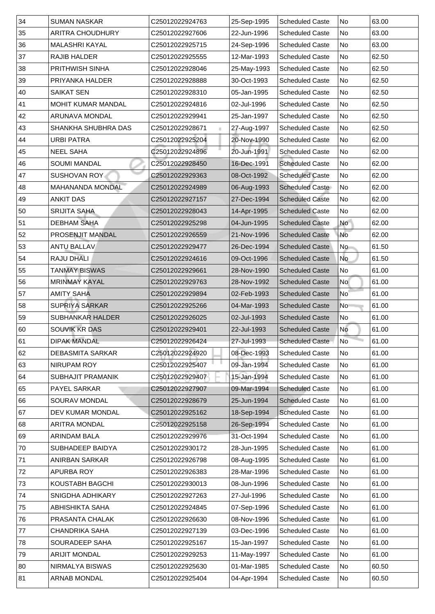| 34           | <b>SUMAN NASKAR</b>        | C25012022924763 | 25-Sep-1995 | <b>Scheduled Caste</b> | No        | 63.00 |
|--------------|----------------------------|-----------------|-------------|------------------------|-----------|-------|
| 35           | <b>ARITRA CHOUDHURY</b>    | C25012022927606 | 22-Jun-1996 | <b>Scheduled Caste</b> | No        | 63.00 |
| 36           | <b>MALASHRI KAYAL</b>      | C25012022925715 | 24-Sep-1996 | <b>Scheduled Caste</b> | <b>No</b> | 63.00 |
| 37           | <b>RAJIB HALDER</b>        | C25012022925555 | 12-Mar-1993 | <b>Scheduled Caste</b> | No        | 62.50 |
| 38           | <b>PRITHWISH SINHA</b>     | C25012022928046 | 25-May-1993 | <b>Scheduled Caste</b> | <b>No</b> | 62.50 |
| 39           | <b>PRIYANKA HALDER</b>     | C25012022928888 | 30-Oct-1993 | <b>Scheduled Caste</b> | No        | 62.50 |
| 40           | <b>SAIKAT SEN</b>          | C25012022928310 | 05-Jan-1995 | <b>Scheduled Caste</b> | No        | 62.50 |
| 41           | <b>MOHIT KUMAR MANDAL</b>  | C25012022924816 | 02-Jul-1996 | <b>Scheduled Caste</b> | <b>No</b> | 62.50 |
| 42           | <b>ARUNAVA MONDAL</b>      | C25012022929941 | 25-Jan-1997 | <b>Scheduled Caste</b> | <b>No</b> | 62.50 |
| 43           | <b>SHANKHA SHUBHRA DAS</b> | C25012022928671 | 27-Aug-1997 | <b>Scheduled Caste</b> | <b>No</b> | 62.50 |
| 44           | <b>URBI PATRA</b>          | C25012022925204 | 20-Nov-1990 | <b>Scheduled Caste</b> | No        | 62.00 |
| 45           | <b>NEEL SAHA</b>           | C25012022924896 | 20-Jun-1991 | <b>Scheduled Caste</b> | <b>No</b> | 62.00 |
| 46           | <b>SOUMI MANDAL</b>        | C25012022928450 | 16-Dec-1991 | <b>Scheduled Caste</b> | <b>No</b> | 62.00 |
| 47           | <b>SUSHOVAN ROY.</b>       | C25012022929363 | 08-Oct-1992 | <b>Scheduled Caste</b> | No        | 62.00 |
| 48           | <b>MAHANANDA MONDAL</b>    | C25012022924989 | 06-Aug-1993 | <b>Scheduled Caste</b> | No        | 62.00 |
| 49           | <b>ANKIT DAS</b>           | C25012022927157 | 27-Dec-1994 | <b>Scheduled Caste</b> | No        | 62.00 |
| 50           | <b>SRIJITA SAHA</b>        | C25012022928043 | 14-Apr-1995 | <b>Scheduled Caste</b> | No        | 62.00 |
| 51           | <b>DEBHAM SAHA</b>         | C25012022925298 | 04-Jun-1995 | <b>Scheduled Caste</b> | <b>No</b> | 62.00 |
| 52           | <b>PROSENJIT MANDAL</b>    | C25012022926559 | 21-Nov-1996 | <b>Scheduled Caste</b> | No        | 62.00 |
| 53           | <b>ANTU BALLAV</b>         | C25012022929477 | 26-Dec-1994 | <b>Scheduled Caste</b> | No        | 61.50 |
| 54           | <b>RAJU DHALI</b>          | C25012022924616 | 09-Oct-1996 | <b>Scheduled Caste</b> | No        | 61.50 |
| 55           | <b>TANMAY BISWAS</b>       | C25012022929661 | 28-Nov-1990 | <b>Scheduled Caste</b> | No        | 61.00 |
| 56           | <b>MRINMAY KAYAL</b>       | C25012022929763 | 28-Nov-1992 | <b>Scheduled Caste</b> | <b>No</b> | 61.00 |
| 57           | <b>AMITY SAHA</b>          | C25012022929894 | 02-Feb-1993 | <b>Scheduled Caste</b> | No.       | 61.00 |
| 58           | <b>SUPRIYA SARKAR</b>      | C25012022925266 | 04-Mar-1993 | <b>Scheduled Caste</b> | No        | 61.00 |
| 59           | <b>SUBHANKAR HALDER</b>    | C25012022926025 | 02-Jul-1993 | <b>Scheduled Caste</b> | No        | 61.00 |
| 60           | <b>SOUVIK KR DAS</b>       | C25012022929401 | 22-Jul-1993 | <b>Scheduled Caste</b> | No        | 61.00 |
| $ 61\rangle$ | <b>DIPAK MANDAL</b>        | C25012022926424 | 27-Jul-1993 | <b>Scheduled Caste</b> | <b>No</b> | 61.00 |
| 62           | <b>DEBASMITA SARKAR</b>    | C25012022924920 | 08-Dec-1993 | <b>Scheduled Caste</b> | No        | 61.00 |
| 63           | NIRUPAM ROY                | C25012022925407 | 09-Jan-1994 | <b>Scheduled Caste</b> | No        | 61.00 |
| 64           | <b>SUBHAJIT PRAMANIK</b>   | C25012022929407 | 15-Jan-1994 | <b>Scheduled Caste</b> | No        | 61.00 |
| 65           | <b>PAYEL SARKAR</b>        | C25012022927907 | 09-Mar-1994 | <b>Scheduled Caste</b> | <b>No</b> | 61.00 |
| 66           | <b>SOURAV MONDAL</b>       | C25012022928679 | 25-Jun-1994 | <b>Scheduled Caste</b> | No        | 61.00 |
| 67           | <b>DEV KUMAR MONDAL</b>    | C25012022925162 | 18-Sep-1994 | <b>Scheduled Caste</b> | No        | 61.00 |
| 68           | <b>ARITRA MONDAL</b>       | C25012022925158 | 26-Sep-1994 | <b>Scheduled Caste</b> | No        | 61.00 |
| 69           | <b>ARINDAM BALA</b>        | C25012022929976 | 31-Oct-1994 | <b>Scheduled Caste</b> | <b>No</b> | 61.00 |
| 70           | <b>SUBHADEEP BAIDYA</b>    | C25012022930172 | 28-Jun-1995 | <b>Scheduled Caste</b> | No        | 61.00 |
| 71           | <b>ANIRBAN SARKAR</b>      | C25012022926798 | 08-Aug-1995 | <b>Scheduled Caste</b> | No        | 61.00 |
| 72           | <b>APURBA ROY</b>          | C25012022926383 | 28-Mar-1996 | <b>Scheduled Caste</b> | <b>No</b> | 61.00 |
| 73           | <b>KOUSTABH BAGCHI</b>     | C25012022930013 | 08-Jun-1996 | <b>Scheduled Caste</b> | No        | 61.00 |
| 74           | <b>SNIGDHA ADHIKARY</b>    | C25012022927263 | 27-Jul-1996 | <b>Scheduled Caste</b> | No        | 61.00 |
| 75           | <b>ABHISHIKTA SAHA</b>     | C25012022924845 | 07-Sep-1996 | <b>Scheduled Caste</b> | No        | 61.00 |
| 76           | PRASANTA CHALAK            | C25012022926630 | 08-Nov-1996 | <b>Scheduled Caste</b> | No        | 61.00 |
| 77           | <b>CHANDRIKA SAHA</b>      | C25012022927139 | 03-Dec-1996 | <b>Scheduled Caste</b> | No.       | 61.00 |
| 78           | <b>SOURADEEP SAHA</b>      | C25012022925167 | 15-Jan-1997 | <b>Scheduled Caste</b> | No        | 61.00 |
| 79           | <b>ARIJIT MONDAL</b>       | C25012022929253 | 11-May-1997 | <b>Scheduled Caste</b> | No        | 61.00 |
| 80           | NIRMALYA BISWAS            | C25012022925630 | 01-Mar-1985 | <b>Scheduled Caste</b> | No        | 60.50 |
| 81           | <b>ARNAB MONDAL</b>        | C25012022925404 | 04-Apr-1994 | <b>Scheduled Caste</b> | No.       | 60.50 |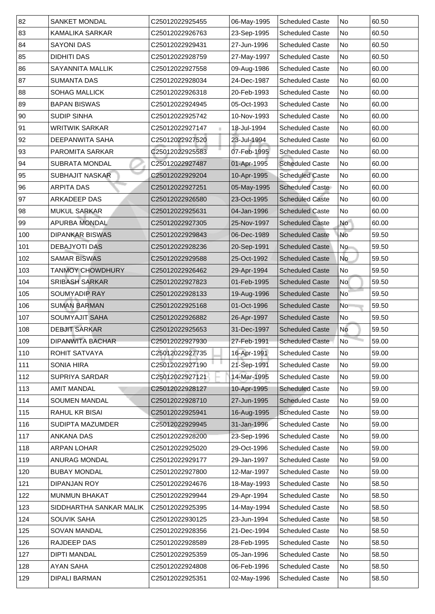| 83<br>23-Sep-1995<br><b>KAMALIKA SARKAR</b><br>No<br>60.50<br>C25012022926763<br><b>Scheduled Caste</b><br>84<br><b>SAYONI DAS</b><br>No<br>60.50<br>C25012022929431<br>27-Jun-1996<br><b>Scheduled Caste</b><br>85<br><b>DIDHITI DAS</b><br>27-May-1997<br><b>Scheduled Caste</b><br>60.50<br>C25012022928759<br>No<br> 86 <br><b>SAYANNITA MALLIK</b><br>09-Aug-1986<br><b>Scheduled Caste</b><br>No<br>C25012022927558<br>60.00<br>87 <br><b>Scheduled Caste</b><br>No<br>60.00<br><b>SUMANTA DAS</b><br>C25012022928034<br>24-Dec-1987<br>88<br><b>SOHAG MALLICK</b><br>20-Feb-1993<br><b>Scheduled Caste</b><br>No<br>60.00<br>C25012022926318<br>89<br><b>BAPAN BISWAS</b><br>No<br>C25012022924945<br>05-Oct-1993<br><b>Scheduled Caste</b><br>60.00<br>90<br><b>SUDIP SINHA</b><br>N <sub>o</sub><br>60.00<br>C25012022925742<br>10-Nov-1993<br><b>Scheduled Caste</b><br>91<br>18-Jul-1994<br><b>Scheduled Caste</b><br>No<br>60.00<br><b>WRITWIK SARKAR</b><br>C25012022927147<br>92<br>23-Jul-1994<br>C25012022927520<br><b>Scheduled Caste</b><br>No<br>60.00<br><b>DEEPANWITA SAHA</b><br> 93 <br>07-Feb-1995<br>C25012022925583<br><b>PAROMITA SARKAR</b><br><b>Scheduled Caste</b><br>No<br>60.00<br>94<br>01-Apr-1995<br><b>SUBRATA MONDAL</b><br><b>Scheduled Caste</b><br>No<br>60.00<br>C25012022927487<br> 95 <br>10-Apr-1995<br>No<br>60.00<br><b>SUBHAJIT NASKAR</b><br>C25012022929204<br><b>Scheduled Caste</b><br>96<br>05-May-1995<br><b>ARPITA DAS</b><br><b>Scheduled Caste</b><br>No<br>60.00<br>C25012022927251<br>97<br><b>ARKADEEP DAS</b><br>23-Oct-1995<br><b>Scheduled Caste</b><br>60.00<br>No<br>C25012022926580<br>98<br><b>MUKUL SARKAR</b><br>60.00<br>C25012022925631<br>04-Jan-1996<br><b>Scheduled Caste</b><br>  No<br>99<br><b>APURBA MONDAL</b><br><b>Scheduled Caste</b><br><b>No</b><br>60.00<br>C25012022927305<br>25-Nov-1997<br>100<br><b>DIPANKAR BISWAS</b><br>06-Dec-1989<br><b>Scheduled Caste</b><br>No<br>59.50<br>C25012022929843 |
|---------------------------------------------------------------------------------------------------------------------------------------------------------------------------------------------------------------------------------------------------------------------------------------------------------------------------------------------------------------------------------------------------------------------------------------------------------------------------------------------------------------------------------------------------------------------------------------------------------------------------------------------------------------------------------------------------------------------------------------------------------------------------------------------------------------------------------------------------------------------------------------------------------------------------------------------------------------------------------------------------------------------------------------------------------------------------------------------------------------------------------------------------------------------------------------------------------------------------------------------------------------------------------------------------------------------------------------------------------------------------------------------------------------------------------------------------------------------------------------------------------------------------------------------------------------------------------------------------------------------------------------------------------------------------------------------------------------------------------------------------------------------------------------------------------------------------------------------------------------------------------------------------------------------------------------------------------------------------------------------|
|                                                                                                                                                                                                                                                                                                                                                                                                                                                                                                                                                                                                                                                                                                                                                                                                                                                                                                                                                                                                                                                                                                                                                                                                                                                                                                                                                                                                                                                                                                                                                                                                                                                                                                                                                                                                                                                                                                                                                                                             |
|                                                                                                                                                                                                                                                                                                                                                                                                                                                                                                                                                                                                                                                                                                                                                                                                                                                                                                                                                                                                                                                                                                                                                                                                                                                                                                                                                                                                                                                                                                                                                                                                                                                                                                                                                                                                                                                                                                                                                                                             |
|                                                                                                                                                                                                                                                                                                                                                                                                                                                                                                                                                                                                                                                                                                                                                                                                                                                                                                                                                                                                                                                                                                                                                                                                                                                                                                                                                                                                                                                                                                                                                                                                                                                                                                                                                                                                                                                                                                                                                                                             |
|                                                                                                                                                                                                                                                                                                                                                                                                                                                                                                                                                                                                                                                                                                                                                                                                                                                                                                                                                                                                                                                                                                                                                                                                                                                                                                                                                                                                                                                                                                                                                                                                                                                                                                                                                                                                                                                                                                                                                                                             |
|                                                                                                                                                                                                                                                                                                                                                                                                                                                                                                                                                                                                                                                                                                                                                                                                                                                                                                                                                                                                                                                                                                                                                                                                                                                                                                                                                                                                                                                                                                                                                                                                                                                                                                                                                                                                                                                                                                                                                                                             |
|                                                                                                                                                                                                                                                                                                                                                                                                                                                                                                                                                                                                                                                                                                                                                                                                                                                                                                                                                                                                                                                                                                                                                                                                                                                                                                                                                                                                                                                                                                                                                                                                                                                                                                                                                                                                                                                                                                                                                                                             |
|                                                                                                                                                                                                                                                                                                                                                                                                                                                                                                                                                                                                                                                                                                                                                                                                                                                                                                                                                                                                                                                                                                                                                                                                                                                                                                                                                                                                                                                                                                                                                                                                                                                                                                                                                                                                                                                                                                                                                                                             |
|                                                                                                                                                                                                                                                                                                                                                                                                                                                                                                                                                                                                                                                                                                                                                                                                                                                                                                                                                                                                                                                                                                                                                                                                                                                                                                                                                                                                                                                                                                                                                                                                                                                                                                                                                                                                                                                                                                                                                                                             |
|                                                                                                                                                                                                                                                                                                                                                                                                                                                                                                                                                                                                                                                                                                                                                                                                                                                                                                                                                                                                                                                                                                                                                                                                                                                                                                                                                                                                                                                                                                                                                                                                                                                                                                                                                                                                                                                                                                                                                                                             |
|                                                                                                                                                                                                                                                                                                                                                                                                                                                                                                                                                                                                                                                                                                                                                                                                                                                                                                                                                                                                                                                                                                                                                                                                                                                                                                                                                                                                                                                                                                                                                                                                                                                                                                                                                                                                                                                                                                                                                                                             |
|                                                                                                                                                                                                                                                                                                                                                                                                                                                                                                                                                                                                                                                                                                                                                                                                                                                                                                                                                                                                                                                                                                                                                                                                                                                                                                                                                                                                                                                                                                                                                                                                                                                                                                                                                                                                                                                                                                                                                                                             |
|                                                                                                                                                                                                                                                                                                                                                                                                                                                                                                                                                                                                                                                                                                                                                                                                                                                                                                                                                                                                                                                                                                                                                                                                                                                                                                                                                                                                                                                                                                                                                                                                                                                                                                                                                                                                                                                                                                                                                                                             |
|                                                                                                                                                                                                                                                                                                                                                                                                                                                                                                                                                                                                                                                                                                                                                                                                                                                                                                                                                                                                                                                                                                                                                                                                                                                                                                                                                                                                                                                                                                                                                                                                                                                                                                                                                                                                                                                                                                                                                                                             |
|                                                                                                                                                                                                                                                                                                                                                                                                                                                                                                                                                                                                                                                                                                                                                                                                                                                                                                                                                                                                                                                                                                                                                                                                                                                                                                                                                                                                                                                                                                                                                                                                                                                                                                                                                                                                                                                                                                                                                                                             |
|                                                                                                                                                                                                                                                                                                                                                                                                                                                                                                                                                                                                                                                                                                                                                                                                                                                                                                                                                                                                                                                                                                                                                                                                                                                                                                                                                                                                                                                                                                                                                                                                                                                                                                                                                                                                                                                                                                                                                                                             |
|                                                                                                                                                                                                                                                                                                                                                                                                                                                                                                                                                                                                                                                                                                                                                                                                                                                                                                                                                                                                                                                                                                                                                                                                                                                                                                                                                                                                                                                                                                                                                                                                                                                                                                                                                                                                                                                                                                                                                                                             |
|                                                                                                                                                                                                                                                                                                                                                                                                                                                                                                                                                                                                                                                                                                                                                                                                                                                                                                                                                                                                                                                                                                                                                                                                                                                                                                                                                                                                                                                                                                                                                                                                                                                                                                                                                                                                                                                                                                                                                                                             |
|                                                                                                                                                                                                                                                                                                                                                                                                                                                                                                                                                                                                                                                                                                                                                                                                                                                                                                                                                                                                                                                                                                                                                                                                                                                                                                                                                                                                                                                                                                                                                                                                                                                                                                                                                                                                                                                                                                                                                                                             |
| 101<br><b>DEBAJYOTI DAS</b><br>20-Sep-1991<br>59.50<br><b>Scheduled Caste</b><br>No<br>C25012022928236                                                                                                                                                                                                                                                                                                                                                                                                                                                                                                                                                                                                                                                                                                                                                                                                                                                                                                                                                                                                                                                                                                                                                                                                                                                                                                                                                                                                                                                                                                                                                                                                                                                                                                                                                                                                                                                                                      |
| 102<br><b>SAMAR BISWAS</b><br>25-Oct-1992<br>No<br>59.50<br>C25012022929588<br><b>Scheduled Caste</b>                                                                                                                                                                                                                                                                                                                                                                                                                                                                                                                                                                                                                                                                                                                                                                                                                                                                                                                                                                                                                                                                                                                                                                                                                                                                                                                                                                                                                                                                                                                                                                                                                                                                                                                                                                                                                                                                                       |
| 103<br><b>TANMOY CHOWDHURY</b><br>29-Apr-1994<br><b>Scheduled Caste</b><br>No<br>59.50<br>C25012022926462                                                                                                                                                                                                                                                                                                                                                                                                                                                                                                                                                                                                                                                                                                                                                                                                                                                                                                                                                                                                                                                                                                                                                                                                                                                                                                                                                                                                                                                                                                                                                                                                                                                                                                                                                                                                                                                                                   |
| 104<br><b>SRIBASH SARKAR</b><br>01-Feb-1995<br>59.50<br>C25012022927823<br><b>Scheduled Caste</b><br><b>No</b>                                                                                                                                                                                                                                                                                                                                                                                                                                                                                                                                                                                                                                                                                                                                                                                                                                                                                                                                                                                                                                                                                                                                                                                                                                                                                                                                                                                                                                                                                                                                                                                                                                                                                                                                                                                                                                                                              |
| 105<br><b>SOUMYADIP RAY</b><br>19-Aug-1996<br><b>Scheduled Caste</b><br>59.50<br>C25012022928133<br>  No                                                                                                                                                                                                                                                                                                                                                                                                                                                                                                                                                                                                                                                                                                                                                                                                                                                                                                                                                                                                                                                                                                                                                                                                                                                                                                                                                                                                                                                                                                                                                                                                                                                                                                                                                                                                                                                                                    |
| 106<br><b>SUMAN BARMAN</b><br>01-Oct-1996<br><b>Scheduled Caste</b><br>59.50<br>C25012022925168<br>N <sub>o</sub>                                                                                                                                                                                                                                                                                                                                                                                                                                                                                                                                                                                                                                                                                                                                                                                                                                                                                                                                                                                                                                                                                                                                                                                                                                                                                                                                                                                                                                                                                                                                                                                                                                                                                                                                                                                                                                                                           |
| 107<br>59.50<br><b>SOUMYAJIT SAHA</b><br>26-Apr-1997<br>C25012022926882<br><b>Scheduled Caste</b><br> No                                                                                                                                                                                                                                                                                                                                                                                                                                                                                                                                                                                                                                                                                                                                                                                                                                                                                                                                                                                                                                                                                                                                                                                                                                                                                                                                                                                                                                                                                                                                                                                                                                                                                                                                                                                                                                                                                    |
| 108<br><b>DEBJIT SARKAR</b><br><b>Scheduled Caste</b><br>59.50<br>C25012022925653<br>31-Dec-1997<br><b>No</b>                                                                                                                                                                                                                                                                                                                                                                                                                                                                                                                                                                                                                                                                                                                                                                                                                                                                                                                                                                                                                                                                                                                                                                                                                                                                                                                                                                                                                                                                                                                                                                                                                                                                                                                                                                                                                                                                               |
| 109<br>N <sub>o</sub><br><b>DIPANWITA BACHAR</b><br>59.00<br>C25012022927930<br>27-Feb-1991<br><b>Scheduled Caste</b>                                                                                                                                                                                                                                                                                                                                                                                                                                                                                                                                                                                                                                                                                                                                                                                                                                                                                                                                                                                                                                                                                                                                                                                                                                                                                                                                                                                                                                                                                                                                                                                                                                                                                                                                                                                                                                                                       |
| 110<br>16-Apr-1991<br><b>ROHIT SATVAYA</b><br>C25012022927735<br><b>Scheduled Caste</b><br>59.00<br>No                                                                                                                                                                                                                                                                                                                                                                                                                                                                                                                                                                                                                                                                                                                                                                                                                                                                                                                                                                                                                                                                                                                                                                                                                                                                                                                                                                                                                                                                                                                                                                                                                                                                                                                                                                                                                                                                                      |
| 21-Sep-1991<br>111<br>C25012022927190<br>59.00<br><b>SONIA HIRA</b><br><b>Scheduled Caste</b><br>No                                                                                                                                                                                                                                                                                                                                                                                                                                                                                                                                                                                                                                                                                                                                                                                                                                                                                                                                                                                                                                                                                                                                                                                                                                                                                                                                                                                                                                                                                                                                                                                                                                                                                                                                                                                                                                                                                         |
| 112<br>4-Mar-1995<br><b>SUPRIYA SARDAR</b><br>59.00<br>C25012022927121<br><b>Scheduled Caste</b><br>No                                                                                                                                                                                                                                                                                                                                                                                                                                                                                                                                                                                                                                                                                                                                                                                                                                                                                                                                                                                                                                                                                                                                                                                                                                                                                                                                                                                                                                                                                                                                                                                                                                                                                                                                                                                                                                                                                      |
| 113<br>10-Apr-1995<br><b>AMIT MANDAL</b><br><b>Scheduled Caste</b><br>No<br>59.00<br>C25012022928127                                                                                                                                                                                                                                                                                                                                                                                                                                                                                                                                                                                                                                                                                                                                                                                                                                                                                                                                                                                                                                                                                                                                                                                                                                                                                                                                                                                                                                                                                                                                                                                                                                                                                                                                                                                                                                                                                        |
| 59.00<br>114<br><b>SOUMEN MANDAL</b><br>C25012022928710<br>27-Jun-1995<br><b>Scheduled Caste</b><br>No                                                                                                                                                                                                                                                                                                                                                                                                                                                                                                                                                                                                                                                                                                                                                                                                                                                                                                                                                                                                                                                                                                                                                                                                                                                                                                                                                                                                                                                                                                                                                                                                                                                                                                                                                                                                                                                                                      |
| 115<br>16-Aug-1995<br>59.00<br><b>RAHUL KR BISAI</b><br>C25012022925941<br><b>Scheduled Caste</b><br>No                                                                                                                                                                                                                                                                                                                                                                                                                                                                                                                                                                                                                                                                                                                                                                                                                                                                                                                                                                                                                                                                                                                                                                                                                                                                                                                                                                                                                                                                                                                                                                                                                                                                                                                                                                                                                                                                                     |
| 116<br>31-Jan-1996<br><b>SUDIPTA MAZUMDER</b><br><b>Scheduled Caste</b><br>No<br>59.00<br>C25012022929945                                                                                                                                                                                                                                                                                                                                                                                                                                                                                                                                                                                                                                                                                                                                                                                                                                                                                                                                                                                                                                                                                                                                                                                                                                                                                                                                                                                                                                                                                                                                                                                                                                                                                                                                                                                                                                                                                   |
| 117<br><b>ANKANA DAS</b><br>23-Sep-1996<br><b>Scheduled Caste</b><br>59.00<br>C25012022928200<br>No                                                                                                                                                                                                                                                                                                                                                                                                                                                                                                                                                                                                                                                                                                                                                                                                                                                                                                                                                                                                                                                                                                                                                                                                                                                                                                                                                                                                                                                                                                                                                                                                                                                                                                                                                                                                                                                                                         |
| 118<br><b>ARPAN LOHAR</b><br>29-Oct-1996<br><b>Scheduled Caste</b><br>No<br>59.00<br>C25012022925020                                                                                                                                                                                                                                                                                                                                                                                                                                                                                                                                                                                                                                                                                                                                                                                                                                                                                                                                                                                                                                                                                                                                                                                                                                                                                                                                                                                                                                                                                                                                                                                                                                                                                                                                                                                                                                                                                        |
| 119<br>59.00<br><b>ANURAG MONDAL</b><br>29-Jan-1997<br><b>Scheduled Caste</b><br>No<br>C25012022929177                                                                                                                                                                                                                                                                                                                                                                                                                                                                                                                                                                                                                                                                                                                                                                                                                                                                                                                                                                                                                                                                                                                                                                                                                                                                                                                                                                                                                                                                                                                                                                                                                                                                                                                                                                                                                                                                                      |
| 120<br><b>BUBAY MONDAL</b><br>C25012022927800<br>12-Mar-1997<br><b>Scheduled Caste</b><br>No<br>59.00                                                                                                                                                                                                                                                                                                                                                                                                                                                                                                                                                                                                                                                                                                                                                                                                                                                                                                                                                                                                                                                                                                                                                                                                                                                                                                                                                                                                                                                                                                                                                                                                                                                                                                                                                                                                                                                                                       |
| 121<br>18-May-1993<br><b>DIPANJAN ROY</b><br>C25012022924676<br><b>Scheduled Caste</b><br>No<br>58.50                                                                                                                                                                                                                                                                                                                                                                                                                                                                                                                                                                                                                                                                                                                                                                                                                                                                                                                                                                                                                                                                                                                                                                                                                                                                                                                                                                                                                                                                                                                                                                                                                                                                                                                                                                                                                                                                                       |
| 122<br>29-Apr-1994<br>58.50<br><b>MUNMUN BHAKAT</b><br><b>Scheduled Caste</b><br>No<br>C25012022929944                                                                                                                                                                                                                                                                                                                                                                                                                                                                                                                                                                                                                                                                                                                                                                                                                                                                                                                                                                                                                                                                                                                                                                                                                                                                                                                                                                                                                                                                                                                                                                                                                                                                                                                                                                                                                                                                                      |
| 123<br>SIDDHARTHA SANKAR MALIK<br>C25012022925395<br>14-May-1994<br><b>Scheduled Caste</b><br>58.50<br> No                                                                                                                                                                                                                                                                                                                                                                                                                                                                                                                                                                                                                                                                                                                                                                                                                                                                                                                                                                                                                                                                                                                                                                                                                                                                                                                                                                                                                                                                                                                                                                                                                                                                                                                                                                                                                                                                                  |
| 124<br>58.50<br><b>SOUVIK SAHA</b><br>C25012022930125<br>23-Jun-1994<br><b>Scheduled Caste</b><br>No                                                                                                                                                                                                                                                                                                                                                                                                                                                                                                                                                                                                                                                                                                                                                                                                                                                                                                                                                                                                                                                                                                                                                                                                                                                                                                                                                                                                                                                                                                                                                                                                                                                                                                                                                                                                                                                                                        |
| 125<br><b>SOVAN MANDAL</b><br><b>Scheduled Caste</b><br>  No<br>C25012022928356<br>21-Dec-1994<br>58.50                                                                                                                                                                                                                                                                                                                                                                                                                                                                                                                                                                                                                                                                                                                                                                                                                                                                                                                                                                                                                                                                                                                                                                                                                                                                                                                                                                                                                                                                                                                                                                                                                                                                                                                                                                                                                                                                                     |
| 126<br>58.50<br><b>RAJDEEP DAS</b><br><b>Scheduled Caste</b><br>No<br>C25012022928589<br>28-Feb-1995                                                                                                                                                                                                                                                                                                                                                                                                                                                                                                                                                                                                                                                                                                                                                                                                                                                                                                                                                                                                                                                                                                                                                                                                                                                                                                                                                                                                                                                                                                                                                                                                                                                                                                                                                                                                                                                                                        |
| 127<br>58.50<br>  No<br><b>DIPTI MANDAL</b><br>C25012022925359<br>05-Jan-1996<br><b>Scheduled Caste</b>                                                                                                                                                                                                                                                                                                                                                                                                                                                                                                                                                                                                                                                                                                                                                                                                                                                                                                                                                                                                                                                                                                                                                                                                                                                                                                                                                                                                                                                                                                                                                                                                                                                                                                                                                                                                                                                                                     |
| 128<br><b>Scheduled Caste</b><br>58.50<br>AYAN SAHA<br>C25012022924808<br>06-Feb-1996<br>No                                                                                                                                                                                                                                                                                                                                                                                                                                                                                                                                                                                                                                                                                                                                                                                                                                                                                                                                                                                                                                                                                                                                                                                                                                                                                                                                                                                                                                                                                                                                                                                                                                                                                                                                                                                                                                                                                                 |
| 129<br><b>DIPALI BARMAN</b><br><b>Scheduled Caste</b><br>58.50<br>02-May-1996<br>C25012022925351<br>  No                                                                                                                                                                                                                                                                                                                                                                                                                                                                                                                                                                                                                                                                                                                                                                                                                                                                                                                                                                                                                                                                                                                                                                                                                                                                                                                                                                                                                                                                                                                                                                                                                                                                                                                                                                                                                                                                                    |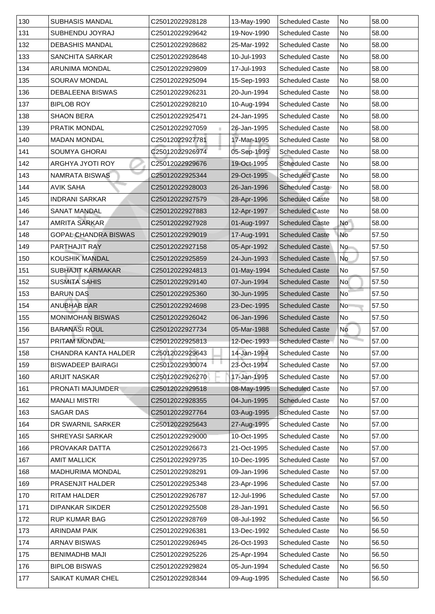| 130 | <b>SUBHASIS MANDAL</b>      | C25012022928128 | 13-May-1990 | <b>Scheduled Caste</b> | No             | 58.00 |
|-----|-----------------------------|-----------------|-------------|------------------------|----------------|-------|
| 131 | <b>SUBHENDU JOYRAJ</b>      | C25012022929642 | 19-Nov-1990 | <b>Scheduled Caste</b> | No             | 58.00 |
| 132 | <b>DEBASHIS MANDAL</b>      | C25012022928682 | 25-Mar-1992 | <b>Scheduled Caste</b> | No             | 58.00 |
| 133 | <b>SANCHITA SARKAR</b>      | C25012022928648 | 10-Jul-1993 | <b>Scheduled Caste</b> | No             | 58.00 |
| 134 | <b>ARUNIMA MONDAL</b>       | C25012022929809 | 17-Jul-1993 | <b>Scheduled Caste</b> | N <sub>o</sub> | 58.00 |
| 135 | <b>SOURAV MONDAL</b>        | C25012022925094 | 15-Sep-1993 | <b>Scheduled Caste</b> | No             | 58.00 |
| 136 | <b>DEBALEENA BISWAS</b>     | C25012022926231 | 20-Jun-1994 | <b>Scheduled Caste</b> | No             | 58.00 |
| 137 | <b>BIPLOB ROY</b>           | C25012022928210 | 10-Aug-1994 | <b>Scheduled Caste</b> | No             | 58.00 |
| 138 | <b>SHAON BERA</b>           | C25012022925471 | 24-Jan-1995 | <b>Scheduled Caste</b> | N <sub>o</sub> | 58.00 |
| 139 | <b>PRATIK MONDAL</b>        | C25012022927059 | 26-Jan-1995 | <b>Scheduled Caste</b> | No             | 58.00 |
| 140 | <b>MADAN MONDAL</b>         | C25012022927781 | 17-Mar-1995 | <b>Scheduled Caste</b> | No             | 58.00 |
| 141 | <b>SOUMYA GHORAI</b>        | C25012022926974 | 05-Sep-1995 | <b>Scheduled Caste</b> | No             | 58.00 |
| 142 | <b>ARGHYA JYOTI ROY</b>     | C25012022929676 | 19-Oct-1995 | <b>Scheduled Caste</b> | No             | 58.00 |
| 143 | <b>NAMRATA BISWAS</b>       | C25012022925344 | 29-Oct-1995 | <b>Scheduled Caste</b> | No             | 58.00 |
| 144 | <b>AVIK SAHA</b>            | C25012022928003 | 26-Jan-1996 | <b>Scheduled Caste</b> | No             | 58.00 |
| 145 | <b>INDRANI SARKAR</b>       | C25012022927579 | 28-Apr-1996 | <b>Scheduled Caste</b> | No             | 58.00 |
| 146 | <b>SANAT MANDAL</b>         | C25012022927883 | 12-Apr-1997 | <b>Scheduled Caste</b> | No             | 58.00 |
| 147 | <b>AMRITA SARKAR</b>        | C25012022927928 | 01-Aug-1997 | <b>Scheduled Caste</b> | <b>No</b>      | 58.00 |
| 148 | <b>GOPAL CHANDRA BISWAS</b> | C25012022929019 | 17-Aug-1991 | <b>Scheduled Caste</b> | No             | 57.50 |
| 149 | <b>PARTHAJIT RAY</b>        | C25012022927158 | 05-Apr-1992 | <b>Scheduled Caste</b> | No             | 57.50 |
| 150 | <b>KOUSHIK MANDAL</b>       | C25012022925859 | 24-Jun-1993 | <b>Scheduled Caste</b> | No             | 57.50 |
| 151 | <b>SUBHAJIT KARMAKAR</b>    | C25012022924813 | 01-May-1994 | <b>Scheduled Caste</b> | No             | 57.50 |
| 152 | <b>SUSMITA SAHIS</b>        | C25012022929140 | 07-Jun-1994 | <b>Scheduled Caste</b> | <b>No</b>      | 57.50 |
| 153 | <b>BARUN DAS</b>            | C25012022925360 | 30-Jun-1995 | <b>Scheduled Caste</b> | No             | 57.50 |
| 154 | <b>ANUBHAB BAR</b>          | C25012022924698 | 23-Dec-1995 | <b>Scheduled Caste</b> | N <sub>o</sub> | 57.50 |
| 155 | <b>MONIMOHAN BISWAS</b>     | C25012022926042 | 06-Jan-1996 | <b>Scheduled Caste</b> | No             | 57.50 |
| 156 | <b>BARANASI ROUL</b>        | C25012022927734 | 05-Mar-1988 | <b>Scheduled Caste</b> | <b>No</b>      | 57.00 |
| 157 | <b>PRITAM MONDAL</b>        | C25012022925813 | 12-Dec-1993 | <b>Scheduled Caste</b> | N <sub>o</sub> | 57.00 |
| 158 | <b>CHANDRA KANTA HALDER</b> | C25012022929643 | 14-Jan-1994 | <b>Scheduled Caste</b> | No             | 57.00 |
| 159 | <b>BISWADEEP BAIRAGI</b>    | C25012022930074 | 23-Oct-1994 | <b>Scheduled Caste</b> | No             | 57.00 |
| 160 | <b>ARIJIT NASKAR</b>        | C25012022926270 | 17-Jan-1995 | <b>Scheduled Caste</b> | No             | 57.00 |
| 161 | <b>PRONATI MAJUMDER</b>     | C25012022929518 | 08-May-1995 | <b>Scheduled Caste</b> | No             | 57.00 |
| 162 | <b>MANALI MISTRI</b>        | C25012022928355 | 04-Jun-1995 | <b>Scheduled Caste</b> | No             | 57.00 |
| 163 | <b>SAGAR DAS</b>            | C25012022927764 | 03-Aug-1995 | <b>Scheduled Caste</b> | No             | 57.00 |
| 164 | DR SWARNIL SARKER           | C25012022925643 | 27-Aug-1995 | <b>Scheduled Caste</b> | No             | 57.00 |
| 165 | <b>SHREYASI SARKAR</b>      | C25012022929000 | 10-Oct-1995 | <b>Scheduled Caste</b> | No             | 57.00 |
| 166 | <b>PROVAKAR DATTA</b>       | C25012022926673 | 21-Oct-1995 | <b>Scheduled Caste</b> | No             | 57.00 |
| 167 | <b>AMIT MALLICK</b>         | C25012022929735 | 10-Dec-1995 | <b>Scheduled Caste</b> | No             | 57.00 |
| 168 | <b>MADHURIMA MONDAL</b>     | C25012022928291 | 09-Jan-1996 | <b>Scheduled Caste</b> | No             | 57.00 |
| 169 | <b>PRASENJIT HALDER</b>     | C25012022925348 | 23-Apr-1996 | <b>Scheduled Caste</b> | No             | 57.00 |
| 170 | <b>RITAM HALDER</b>         | C25012022926787 | 12-Jul-1996 | <b>Scheduled Caste</b> | No             | 57.00 |
| 171 | <b>DIPANKAR SIKDER</b>      | C25012022925508 | 28-Jan-1991 | <b>Scheduled Caste</b> | No             | 56.50 |
| 172 | <b>RUP KUMAR BAG</b>        | C25012022928769 | 08-Jul-1992 | <b>Scheduled Caste</b> | No             | 56.50 |
| 173 | <b>ARINDAM PAIK</b>         | C25012022926381 | 13-Dec-1992 | <b>Scheduled Caste</b> | No             | 56.50 |
| 174 | <b>ARNAV BISWAS</b>         | C25012022926945 | 26-Oct-1993 | <b>Scheduled Caste</b> | No             | 56.50 |
| 175 | <b>BENIMADHB MAJI</b>       | C25012022925226 | 25-Apr-1994 | <b>Scheduled Caste</b> | No             | 56.50 |
| 176 | <b>BIPLOB BISWAS</b>        | C25012022929824 | 05-Jun-1994 | <b>Scheduled Caste</b> | No             | 56.50 |
| 177 | <b>SAIKAT KUMAR CHEL</b>    | C25012022928344 | 09-Aug-1995 | <b>Scheduled Caste</b> | No             | 56.50 |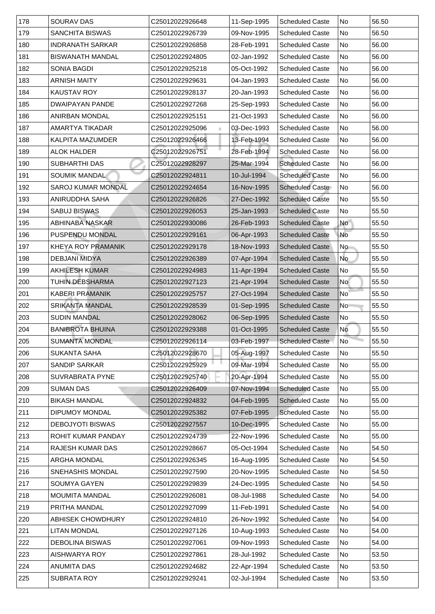| 178<br><b>SOURAV DAS</b><br>11-Sep-1995<br>C25012022926648<br><b>Scheduled Caste</b>                 | No             | 56.50 |
|------------------------------------------------------------------------------------------------------|----------------|-------|
| 179<br><b>SANCHITA BISWAS</b><br>C25012022926739<br>09-Nov-1995<br><b>Scheduled Caste</b>            | No             | 56.50 |
| 180<br><b>INDRANATH SARKAR</b><br>C25012022926858<br>28-Feb-1991<br><b>Scheduled Caste</b>           | <b>No</b>      | 56.00 |
| 181<br><b>BISWANATH MANDAL</b><br>02-Jan-1992<br>C25012022924805<br><b>Scheduled Caste</b>           | No             | 56.00 |
| 182<br><b>SONIA BAGDI</b><br>C25012022925218<br>05-Oct-1992<br><b>Scheduled Caste</b>                | No             | 56.00 |
| 183<br><b>ARNISH MAITY</b><br>C25012022929631<br><b>Scheduled Caste</b><br>04-Jan-1993               | No             | 56.00 |
| 184<br><b>KAUSTAV ROY</b><br>20-Jan-1993<br><b>Scheduled Caste</b><br>C25012022928137                | No             | 56.00 |
| 185<br><b>DWAIPAYAN PANDE</b><br>25-Sep-1993<br><b>Scheduled Caste</b><br>C25012022927268            | <b>No</b>      | 56.00 |
| 186<br>21-Oct-1993<br><b>ANIRBAN MONDAL</b><br>C25012022925151<br><b>Scheduled Caste</b>             | <b>No</b>      | 56.00 |
| 187<br>AMARTYA TIKADAR<br>C25012022925096<br>03-Dec-1993<br><b>Scheduled Caste</b>                   | <b>No</b>      | 56.00 |
| 188<br>C25012022926466<br>13-Feb-1994<br><b>KALPITA MAZUMDER</b><br><b>Scheduled Caste</b>           | No             | 56.00 |
| C25012022926751<br>28-Feb-1994<br>189<br><b>ALOK HALDER</b><br><b>Scheduled Caste</b>                | <b>No</b>      | 56.00 |
| 190<br><b>SUBHARTHI DAS</b><br>25-Mar-1994<br><b>Scheduled Caste</b><br>C25012022928297              | <b>No</b>      | 56.00 |
| 191<br><b>SOUMIK MANDAL</b><br>10-Jul-1994<br><b>Scheduled Caste</b><br>C25012022924811              | No             | 56.00 |
| 192<br><b>SAROJ KUMAR MONDAL</b><br>C25012022924654<br>16-Nov-1995<br><b>Scheduled Caste</b>         | No             | 56.00 |
| 193<br><b>ANIRUDDHA SAHA</b><br>C25012022926826<br>27-Dec-1992<br><b>Scheduled Caste</b>             | No.            | 55.50 |
| <b>SABUJ BISWAS</b><br>194<br>C25012022926053<br><b>Scheduled Caste</b><br>25-Jan-1993               | No             | 55.50 |
| 195<br><b>ABHINABA NASKAR</b><br>C25012022930086<br>26-Feb-1993<br><b>Scheduled Caste</b>            | <b>No</b>      | 55.50 |
| 196<br><b>PUSPENDU MONDAL</b><br>06-Apr-1993<br>C25012022929161<br><b>Scheduled Caste</b>            | No             | 55.50 |
| 197<br><b>KHEYA ROY PRAMANIK</b><br>18-Nov-1993<br><b>Scheduled Caste</b><br>C25012022929178         | No             | 55.50 |
| 198<br><b>DEBJANI MIDYA</b><br>07-Apr-1994<br>C25012022926389<br><b>Scheduled Caste</b>              | No             | 55.50 |
| 199<br><b>AKHILESH KUMAR</b><br>11-Apr-1994<br>C25012022924983<br><b>Scheduled Caste</b>             | No             | 55.50 |
| 200<br>21-Apr-1994<br><b>TUHIN DEBSHARMA</b><br><b>Scheduled Caste</b><br>C25012022927123            | <b>No</b>      | 55.50 |
| 201<br><b>KABERI PRAMANIK</b><br>27-Oct-1994<br><b>Scheduled Caste</b><br>C25012022925757            | No             | 55.50 |
| 202<br><b>SRIKANTA MANDAL</b><br>01-Sep-1995<br>C25012022928539<br><b>Scheduled Caste</b>            | N <sub>o</sub> | 55.50 |
| 203 <br><b>SUDIN MANDAL</b><br>06-Sep-1995<br><b>Scheduled Caste</b><br>C25012022928062              | No             | 55.50 |
| 204<br><b>BANIBROTA BHUINA</b><br>01-Oct-1995<br><b>Scheduled Caste</b><br>C25012022929388           | No             | 55.50 |
| 205<br><b>SUMANTA MONDAL</b><br>C25012022926114<br>03-Feb-1997<br><b>Scheduled Caste</b>             | No             | 55.50 |
| 206<br>05-Aug-1997<br><b>SUKANTA SAHA</b><br><b>Scheduled Caste</b><br>C25012022928670               | No             | 55.50 |
| 207<br>09-Mar-1994<br><b>SANDIP SARKAR</b><br>C25012022925929<br><b>Scheduled Caste</b>              | No             | 55.00 |
| 20-Apr-1994<br>208<br><b>SUVRABRATA PYNE</b><br>C25012022925740<br><b>Scheduled Caste</b>            | No             | 55.00 |
| 209<br><b>SUMAN DAS</b><br>C25012022926409<br>07-Nov-1994<br><b>Scheduled Caste</b>                  | No             | 55.00 |
| 210<br><b>BIKASH MANDAL</b><br>C25012022924832<br>04-Feb-1995<br><b>Scheduled Caste</b>              | No             | 55.00 |
| 211<br><b>DIPUMOY MONDAL</b><br>C25012022925382<br>07-Feb-1995<br><b>Scheduled Caste</b>             | <b>No</b>      | 55.00 |
| $ 212\rangle$<br><b>DEBOJYOTI BISWAS</b><br>10-Dec-1995<br><b>Scheduled Caste</b><br>C25012022927557 | No             | 55.00 |
| 213<br><b>ROHIT KUMAR PANDAY</b><br>C25012022924739<br>22-Nov-1996<br><b>Scheduled Caste</b>         | No             | 55.00 |
| 214<br><b>RAJESH KUMAR DAS</b><br>05-Oct-1994<br><b>Scheduled Caste</b><br>C25012022928667           | No             | 54.50 |
| 215<br><b>ARGHA MONDAL</b><br>16-Aug-1995<br>C25012022926345<br><b>Scheduled Caste</b>               | No             | 54.50 |
| 216<br><b>SNEHASHIS MONDAL</b><br>20-Nov-1995<br><b>Scheduled Caste</b><br>C25012022927590           | <b>No</b>      | 54.50 |
| $ 217\rangle$<br><b>SOUMYA GAYEN</b><br>C25012022929839<br>24-Dec-1995<br><b>Scheduled Caste</b>     | <b>No</b>      | 54.50 |
| 218<br><b>MOUMITA MANDAL</b><br>C25012022926081<br>08-Jul-1988<br><b>Scheduled Caste</b>             | No             | 54.00 |
| 219<br>PRITHA MANDAL<br>C25012022927099<br>11-Feb-1991<br><b>Scheduled Caste</b>                     | No.            | 54.00 |
| 220<br><b>ABHISEK CHOWDHURY</b><br><b>Scheduled Caste</b><br>C25012022924810<br>26-Nov-1992          | No             | 54.00 |
| 221 <br><b>LITAN MONDAL</b><br>10-Aug-1993<br><b>Scheduled Caste</b><br>C25012022927126              | No             | 54.00 |
| 222<br><b>DEBOLINA BISWAS</b><br>09-Nov-1993<br><b>Scheduled Caste</b><br>C25012022927061            | No             | 54.00 |
| 223<br>AISHWARYA ROY<br>C25012022927861<br>28-Jul-1992<br><b>Scheduled Caste</b>                     | No             | 53.50 |
| 224 <br><b>ANUMITA DAS</b><br>22-Apr-1994<br><b>Scheduled Caste</b><br>C25012022924682               | No             | 53.50 |
| 225<br><b>Scheduled Caste</b><br><b>SUBRATA ROY</b><br>C25012022929241<br>02-Jul-1994                | No.            | 53.50 |